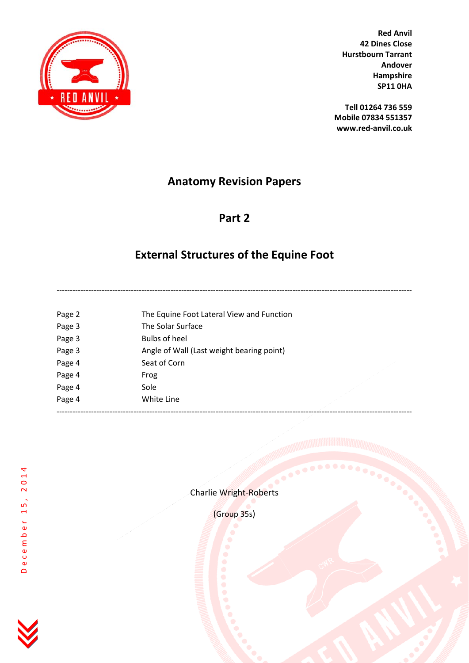

**Tell 01264 736 559 Mobile 07834 551357 www.red‐anvil.co.uk**

# **Anatomy Revision Papers**

# **Part 2**

# **External Structures of the Equine Foot**

| Page 2 | The Equine Foot Lateral View and Function |  |
|--------|-------------------------------------------|--|
| Page 3 | The Solar Surface                         |  |
| Page 3 | Bulbs of heel                             |  |
| Page 3 | Angle of Wall (Last weight bearing point) |  |
| Page 4 | Seat of Corn                              |  |
| Page 4 | Frog                                      |  |
| Page 4 | Sole                                      |  |
| Page 4 | White Line                                |  |
|        |                                           |  |

December 15, 2014

December 15, 2014



(Group 35s)

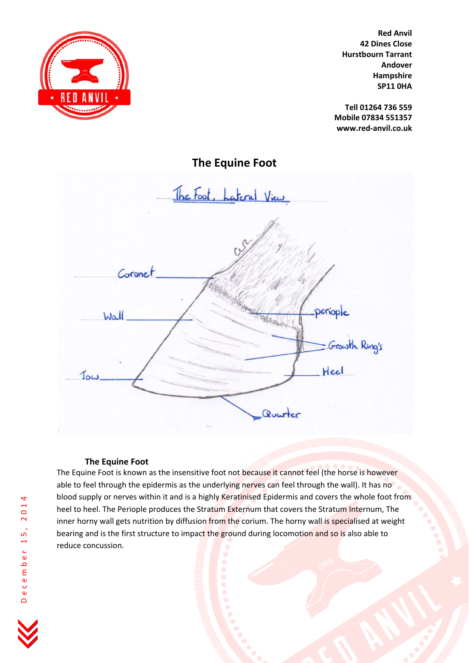

**Tell 01264 736 559 Mobile 07834 551357 www.red‐anvil.co.uk**

**The Equine Foot**

<u> The Foot, Lateral View</u> Coronet eriople Wall Growth Ring's Heel Tow Quarter

#### **The Equine Foot**

The Equine Foot is known as the insensitive foot not because it cannot feel (the horse is however able to feel through the epidermis as the underlying nerves can feel through the wall). It has no blood supply or nerves within it and is a highly Keratinised Epidermis and covers the whole foot from heel to heel. The Periople produces the Stratum Externum that covers the Stratum Internum, The inner horny wall gets nutrition by diffusion from the corium. The horny wall is specialised at weight bearing and is the first structure to impact the ground during locomotion and so is also able to reduce concussion.

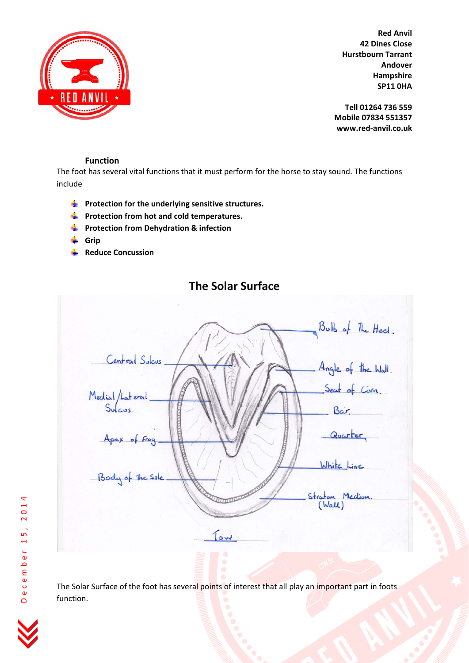

**Tell 01264 736 559 Mobile 07834 551357 www.red‐anvil.co.uk**

### **Function**

The foot has several vital functions that it must perform for the horse to stay sound. The functions include

- **Protection for the underlying sensitive structures.**
- **Protection from hot and cold temperatures.**
- **Protection from Dehydration & infection**
- **Grip**
- **Reduce Concussion** ÷



**The Solar Surface**

The Solar Surface of the foot has several points of interest that all play an important part in foots function.

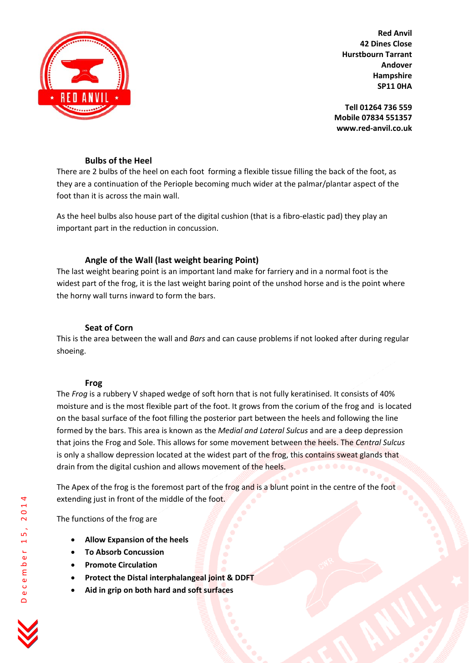

**Tell 01264 736 559 Mobile 07834 551357 www.red‐anvil.co.uk**

### **Bulbs of the Heel**

There are 2 bulbs of the heel on each foot forming a flexible tissue filling the back of the foot, as they are a continuation of the Periople becoming much wider at the palmar/plantar aspect of the foot than it is across the main wall.

As the heel bulbs also house part of the digital cushion (that is a fibro‐elastic pad) they play an important part in the reduction in concussion.

## **Angle of the Wall (last weight bearing Point)**

The last weight bearing point is an important land make for farriery and in a normal foot is the widest part of the frog, it is the last weight baring point of the unshod horse and is the point where the horny wall turns inward to form the bars.

### **Seat of Corn**

This is the area between the wall and *Bars* and can cause problems if not looked after during regular shoeing.

#### **Frog**

The *Frog* is a rubbery V shaped wedge of soft horn that is not fully keratinised. It consists of 40% moisture and is the most flexible part of the foot. It grows from the corium of the frog and is located on the basal surface of the foot filling the posterior part between the heels and following the line formed by the bars. This area is known as the *Medial and Lateral Sulcus* and are a deep depression that joins the Frog and Sole. This allows for some movement between the heels. The *Central Sulcus* is only a shallow depression located at the widest part of the frog, this contains sweat glands that drain from the digital cushion and allows movement of the heels.

The Apex of the frog is the foremost part of the frog and is a blunt point in the centre of the foot extending just in front of the middle of the foot.

The functions of the frog are

- **Allow Expansion of the heels**
- **To Absorb Concussion**
- **Promote Circulation**
- **Protect the Distal interphalangeal joint & DDFT**
- **Aid in grip on both hard and soft surfaces**